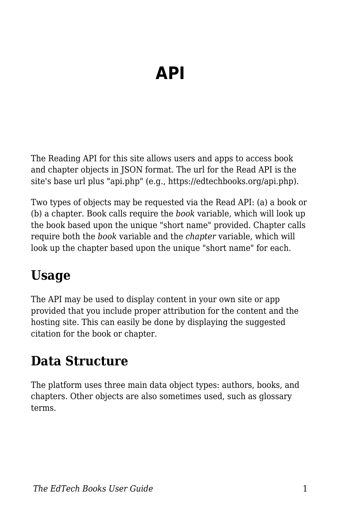# **API**

The Reading API for this site allows users and apps to access book and chapter objects in JSON format. The url for the Read API is the site's base url plus "api.php" (e.g., https://edtechbooks.org/api.php).

Two types of objects may be requested via the Read API: (a) a book or (b) a chapter. Book calls require the *book* variable, which will look up the book based upon the unique "short name" provided. Chapter calls require both the *book* variable and the *chapter* variable, which will look up the chapter based upon the unique "short name" for each.

### **Usage**

The API may be used to display content in your own site or app provided that you include proper attribution for the content and the hosting site. This can easily be done by displaying the suggested citation for the book or chapter.

### **Data Structure**

The platform uses three main data object types: authors, books, and chapters. Other objects are also sometimes used, such as glossary terms.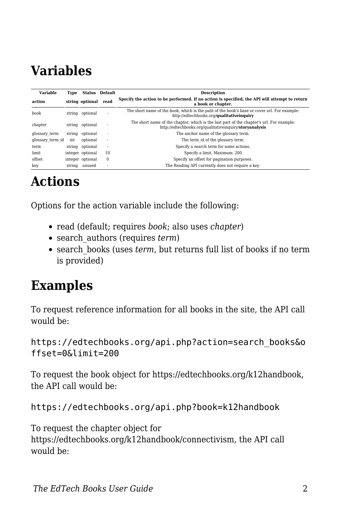## **Variables**

| <b>Variable</b>  | Type   |                  | <b>Status</b> Default | <b>Description</b>                                                                                                                                  |
|------------------|--------|------------------|-----------------------|-----------------------------------------------------------------------------------------------------------------------------------------------------|
| action           |        | string optional  | read                  | Specify the action to be performed. If no action is specified, the API will attempt to return<br>a book or chapter.                                 |
| book             |        | string optional  |                       | The short name of the book, which is the path of the book's base or cover url. For example:<br>http://edtechbooks.org/qualitativeinquiry            |
| chapter          | string | optional         | ٠                     | The short name of the chapter, which is the last part of the chapter's url. For example:<br>http://edtechbooks.org/qualitativeinquiry/storyanalysis |
| glossary term    | string | optional         | ٠                     | The anchor name of the glossary term.                                                                                                               |
| glossary term id | int    | optional         | ٠                     | The term id of the glossary term.                                                                                                                   |
| term             | string | optional         | ٠                     | Specify a search term for some actions.                                                                                                             |
| limit            |        | integer optional | 10                    | Specify a limit. Maximum: 200                                                                                                                       |
| offset           |        | integer optional | $\mathbf{0}$          | Specify an offset for pagination purposes.                                                                                                          |
| kev              | string | unused           |                       | The Reading API currently does not require a key.                                                                                                   |

#### **Actions**

Options for the action variable include the following:

- read (default; requires *book*; also uses *chapter*)
- search\_authors (requires *term*)
- search\_books (uses *term*, but returns full list of books if no term is provided)

#### **Examples**

To request reference information for all books in the site, the API call would be:

https://edtechbooks.org/api.php?action=search\_books&o ffset=0&limit=200

To request the book object for https://edtechbooks.org/k12handbook, the API call would be:

https://edtechbooks.org/api.php?book=k12handbook

To request the chapter object for https://edtechbooks.org/k12handbook/connectivism, the API call would be: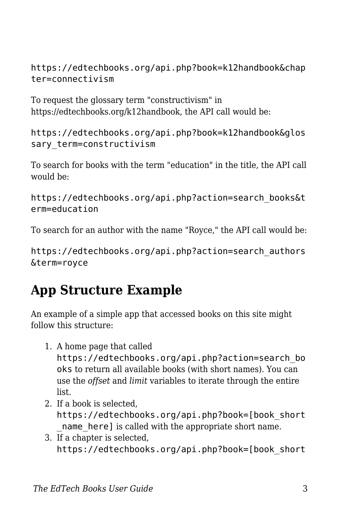https://edtechbooks.org/api.php?book=k12handbook&chap ter=connectivism

To request the glossary term "constructivism" in https://edtechbooks.org/k12handbook, the API call would be:

https://edtechbooks.org/api.php?book=k12handbook&glos sary term=constructivism

To search for books with the term "education" in the title, the API call would be:

https://edtechbooks.org/api.php?action=search\_books&t erm=education

To search for an author with the name "Royce," the API call would be:

https://edtechbooks.org/api.php?action=search\_authors &term=royce

## **App Structure Example**

An example of a simple app that accessed books on this site might follow this structure:

1. A home page that called

https://edtechbooks.org/api.php?action=search\_bo oks to return all available books (with short names). You can use the *offset* and *limit* variables to iterate through the entire list.

- 2. If a book is selected, https://edtechbooks.org/api.php?book=[book\_short name here] is called with the appropriate short name.
- 3. If a chapter is selected, https://edtechbooks.org/api.php?book=[book\_short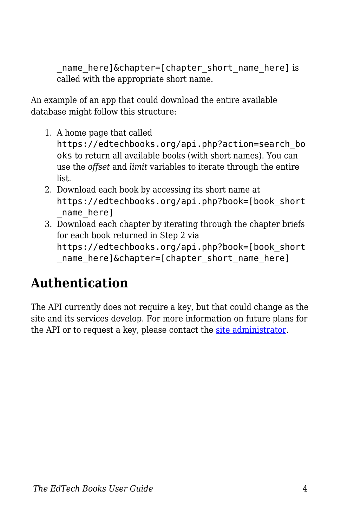name here]&chapter=[chapter short name here] is called with the appropriate short name.

An example of an app that could download the entire available database might follow this structure:

1. A home page that called

https://edtechbooks.org/api.php?action=search\_bo oks to return all available books (with short names). You can use the *offset* and *limit* variables to iterate through the entire list.

- 2. Download each book by accessing its short name at https://edtechbooks.org/api.php?book=[book\_short \_name\_here]
- 3. Download each chapter by iterating through the chapter briefs for each book returned in Step 2 via https://edtechbooks.org/api.php?book=[book\_short name here]&chapter=[chapter short name here]

## **Authentication**

The API currently does not require a key, but that could change as the site and its services develop. For more information on future plans for the API or to request a key, please contact the [site administrator.](mailto:admin@edtechbooks.org)